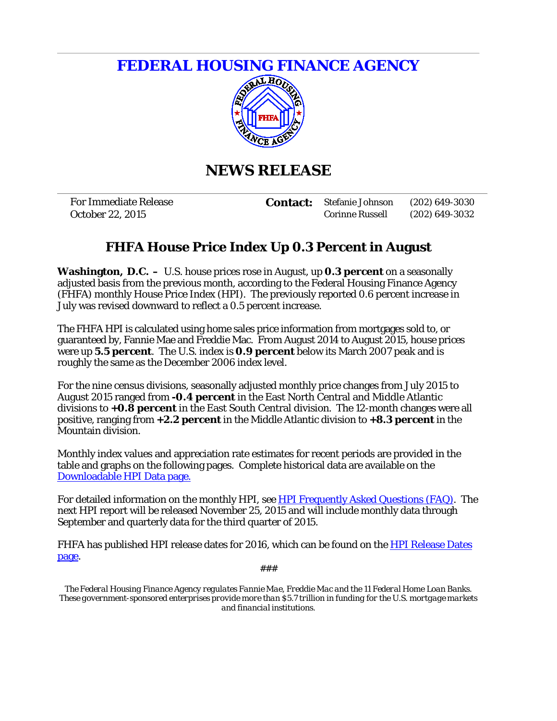**FEDERAL HOUSING FINANCE AGENCY**



# **NEWS RELEASE**

For Immediate Release **Contact:** Stefanie Johnson (202) 649-3030 October 22, 2015 Corinne Russell (202) 649-3032

## **FHFA House Price Index Up 0.3 Percent in August**

**Washington, D.C. –** U.S. house prices rose in August, up **0.3 percent** on a seasonally adjusted basis from the previous month, according to the Federal Housing Finance Agency (FHFA) monthly House Price Index (HPI). The previously reported 0.6 percent increase in July was revised downward to reflect a 0.5 percent increase.

The FHFA HPI is calculated using home sales price information from mortgages sold to, or guaranteed by, Fannie Mae and Freddie Mac. From August 2014 to August 2015, house prices were up **5.5 percent**. The U.S. index is **0.9 percent** below its March 2007 peak and is roughly the same as the December 2006 index level.

For the nine census divisions, seasonally adjusted monthly price changes from July 2015 to August 2015 ranged from **-0.4 percent** in the East North Central and Middle Atlantic divisions to **+0.8 percent** in the East South Central division. The 12-month changes were all positive, ranging from **+2.2 percent** in the Middle Atlantic division to **+8.3 percent** in the Mountain division.

Monthly index values and appreciation rate estimates for recent periods are provided in the table and graphs on the following pages. Complete historical data are available on the [Downloadable HPI Data page.](http://www.fhfa.gov/DataTools/Downloads/Pages/House-Price-Index.aspx)

For detailed information on the monthly HPI, see [HPI Frequently Asked Questions \(FAQ\).](http://www.fhfa.gov/Media/PublicAffairs/Pages/Housing-Price-Index-Frequently-Asked-Questions.aspx) The next HPI report will be released November 25, 2015 and will include monthly data through September and quarterly data for the third quarter of 2015.

FHFA has published HPI release dates for 2016, which can be found on the HPI Release Dates [page.](http://www.fhfa.gov/DataTools/Downloads/Pages/House-Price-Index.aspx#ReleaseDates)

*###*

*The Federal Housing Finance Agency regulates Fannie Mae, Freddie Mac and the 11 Federal Home Loan Banks. These government-sponsored enterprises provide more than \$5.7 trillion in funding for the U.S. mortgage markets and financial institutions.*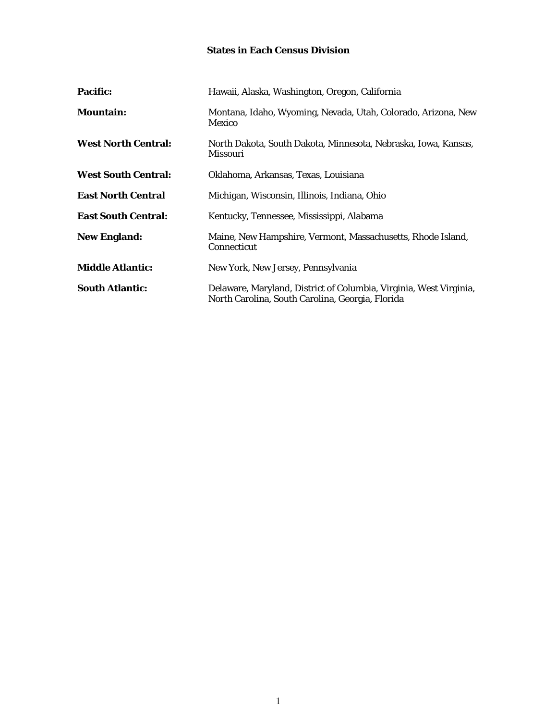#### **States in Each Census Division**

| <b>Pacific:</b>            | Hawaii, Alaska, Washington, Oregon, California                                                                         |
|----------------------------|------------------------------------------------------------------------------------------------------------------------|
| <b>Mountain:</b>           | Montana, Idaho, Wyoming, Nevada, Utah, Colorado, Arizona, New<br>Mexico                                                |
| <b>West North Central:</b> | North Dakota, South Dakota, Minnesota, Nebraska, Iowa, Kansas,<br>Missouri                                             |
| <b>West South Central:</b> | Oklahoma, Arkansas, Texas, Louisiana                                                                                   |
| <b>East North Central</b>  | Michigan, Wisconsin, Illinois, Indiana, Ohio                                                                           |
| <b>East South Central:</b> | Kentucky, Tennessee, Mississippi, Alabama                                                                              |
| <b>New England:</b>        | Maine, New Hampshire, Vermont, Massachusetts, Rhode Island,<br>Connecticut                                             |
| <b>Middle Atlantic:</b>    | New York, New Jersey, Pennsylvania                                                                                     |
| <b>South Atlantic:</b>     | Delaware, Maryland, District of Columbia, Virginia, West Virginia,<br>North Carolina, South Carolina, Georgia, Florida |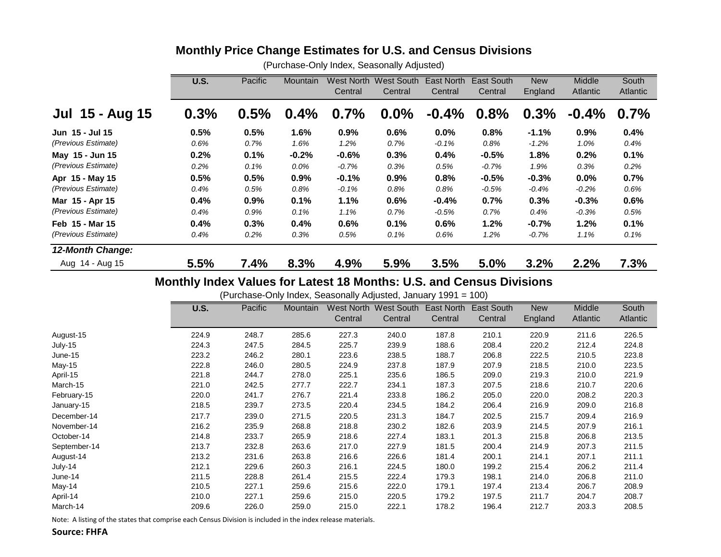### **Monthly Price Change Estimates for U.S. and Census Divisions**

|                        | U.S.                                                                 | Pacific | <b>Mountain</b> | West North<br>Central | West South<br>Central | East North<br>Central | East South<br>Central | <b>New</b><br>England | <b>Middle</b><br><b>Atlantic</b> | South<br><b>Atlantic</b> |
|------------------------|----------------------------------------------------------------------|---------|-----------------|-----------------------|-----------------------|-----------------------|-----------------------|-----------------------|----------------------------------|--------------------------|
| <b>Jul 15 - Aug 15</b> | 0.3%                                                                 | 0.5%    | 0.4%            | 0.7%                  | 0.0%                  | $-0.4%$               | 0.8%                  | 0.3%                  | $-0.4\%$                         | 0.7%                     |
| Jun 15 - Jul 15        | 0.5%                                                                 | 0.5%    | 1.6%            | $0.9\%$               | 0.6%                  | $0.0\%$               | 0.8%                  | $-1.1%$               | 0.9%                             | 0.4%                     |
| (Previous Estimate)    | 0.6%                                                                 | 0.7%    | 1.6%            | 1.2%                  | 0.7%                  | $-0.1\%$              | 0.8%                  | $-1.2%$               | 1.0%                             | 0.4%                     |
| May 15 - Jun 15        | 0.2%                                                                 | 0.1%    | $-0.2%$         | $-0.6%$               | 0.3%                  | 0.4%                  | $-0.5%$               | 1.8%                  | 0.2%                             | 0.1%                     |
| (Previous Estimate)    | 0.2%                                                                 | 0.1%    | 0.0%            | $-0.7\%$              | 0.3%                  | 0.5%                  | -0.7%                 | 1.9%                  | 0.3%                             | $0.2\%$                  |
| Apr 15 - May 15        | 0.5%                                                                 | 0.5%    | $0.9\%$         | $-0.1%$               | 0.9%                  | 0.8%                  | $-0.5%$               | $-0.3%$               | $0.0\%$                          | 0.7%                     |
| (Previous Estimate)    | 0.4%                                                                 | 0.5%    | 0.8%            | $-0.1\%$              | 0.8%                  | 0.8%                  | $-0.5\%$              | $-0.4\%$              | $-0.2%$                          | 0.6%                     |
| Mar 15 - Apr 15        | 0.4%                                                                 | 0.9%    | 0.1%            | 1.1%                  | 0.6%                  | -0.4%                 | 0.7%                  | 0.3%                  | $-0.3%$                          | 0.6%                     |
| (Previous Estimate)    | 0.4%                                                                 | 0.9%    | 0.1%            | 1.1%                  | 0.7%                  | $-0.5%$               | 0.7%                  | $0.4\%$               | $-0.3%$                          | 0.5%                     |
| Feb 15 - Mar 15        | 0.4%                                                                 | 0.3%    | 0.4%            | $0.6\%$               | 0.1%                  | $0.6\%$               | 1.2%                  | $-0.7%$               | 1.2%                             | 0.1%                     |
| (Previous Estimate)    | $0.4\%$                                                              | 0.2%    | 0.3%            | 0.5%                  | 0.1%                  | 0.6%                  | 1.2%                  | $-0.7%$               | 1.1%                             | $0.1\%$                  |
| 12-Month Change:       |                                                                      |         |                 |                       |                       |                       |                       |                       |                                  |                          |
| Aug 14 - Aug 15        | 5.5%                                                                 | 7.4%    | 8.3%            | 4.9%                  | 5.9%                  | 3.5%                  | 5.0%                  | 3.2%                  | 2.2%                             | 7.3%                     |
|                        | Menthly Index Velues fer Letest 40 Menths: U.C. and Canous Divisions |         |                 |                       |                       |                       |                       |                       |                                  |                          |

(Purchase-Only Index, Seasonally Adjusted)

#### **Monthly Index Values for Latest 18 Months: U.S. and Census Divisions**

(Purchase-Only Index, Seasonally Adjusted, January 1991 = 100)

|              | <b>U.S.</b> | Pacific | Mountain | West North<br>Central | West South<br>Central | East North<br>Central | East South<br>Central | <b>New</b><br>England | Middle<br>Atlantic | South<br><b>Atlantic</b> |
|--------------|-------------|---------|----------|-----------------------|-----------------------|-----------------------|-----------------------|-----------------------|--------------------|--------------------------|
| August-15    | 224.9       | 248.7   | 285.6    | 227.3                 | 240.0                 | 187.8                 | 210.1                 | 220.9                 | 211.6              | 226.5                    |
| July-15      | 224.3       | 247.5   | 284.5    | 225.7                 | 239.9                 | 188.6                 | 208.4                 | 220.2                 | 212.4              | 224.8                    |
| June-15      | 223.2       | 246.2   | 280.1    | 223.6                 | 238.5                 | 188.7                 | 206.8                 | 222.5                 | 210.5              | 223.8                    |
| May-15       | 222.8       | 246.0   | 280.5    | 224.9                 | 237.8                 | 187.9                 | 207.9                 | 218.5                 | 210.0              | 223.5                    |
| April-15     | 221.8       | 244.7   | 278.0    | 225.1                 | 235.6                 | 186.5                 | 209.0                 | 219.3                 | 210.0              | 221.9                    |
| March-15     | 221.0       | 242.5   | 277.7    | 222.7                 | 234.1                 | 187.3                 | 207.5                 | 218.6                 | 210.7              | 220.6                    |
| February-15  | 220.0       | 241.7   | 276.7    | 221.4                 | 233.8                 | 186.2                 | 205.0                 | 220.0                 | 208.2              | 220.3                    |
| January-15   | 218.5       | 239.7   | 273.5    | 220.4                 | 234.5                 | 184.2                 | 206.4                 | 216.9                 | 209.0              | 216.8                    |
| December-14  | 217.7       | 239.0   | 271.5    | 220.5                 | 231.3                 | 184.7                 | 202.5                 | 215.7                 | 209.4              | 216.9                    |
| November-14  | 216.2       | 235.9   | 268.8    | 218.8                 | 230.2                 | 182.6                 | 203.9                 | 214.5                 | 207.9              | 216.1                    |
| October-14   | 214.8       | 233.7   | 265.9    | 218.6                 | 227.4                 | 183.1                 | 201.3                 | 215.8                 | 206.8              | 213.5                    |
| September-14 | 213.7       | 232.8   | 263.6    | 217.0                 | 227.9                 | 181.5                 | 200.4                 | 214.9                 | 207.3              | 211.5                    |
| August-14    | 213.2       | 231.6   | 263.8    | 216.6                 | 226.6                 | 181.4                 | 200.1                 | 214.1                 | 207.1              | 211.1                    |
| July-14      | 212.1       | 229.6   | 260.3    | 216.1                 | 224.5                 | 180.0                 | 199.2                 | 215.4                 | 206.2              | 211.4                    |
| June-14      | 211.5       | 228.8   | 261.4    | 215.5                 | 222.4                 | 179.3                 | 198.1                 | 214.0                 | 206.8              | 211.0                    |
| May-14       | 210.5       | 227.1   | 259.6    | 215.6                 | 222.0                 | 179.1                 | 197.4                 | 213.4                 | 206.7              | 208.9                    |
| April-14     | 210.0       | 227.1   | 259.6    | 215.0                 | 220.5                 | 179.2                 | 197.5                 | 211.7                 | 204.7              | 208.7                    |
| March-14     | 209.6       | 226.0   | 259.0    | 215.0                 | 222.1                 | 178.2                 | 196.4                 | 212.7                 | 203.3              | 208.5                    |

Note: A listing of the states that comprise each Census Division is included in the index release materials.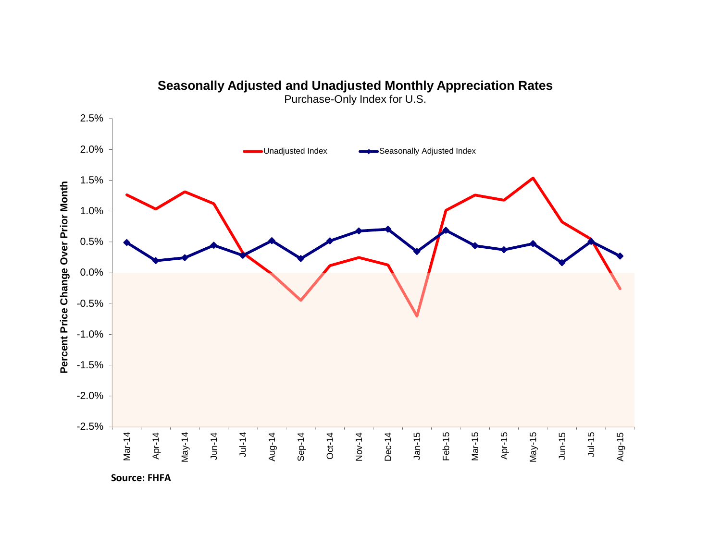

**Seasonally Adjusted and Unadjusted Monthly Appreciation Rates**

Purchase-Only Index for U.S.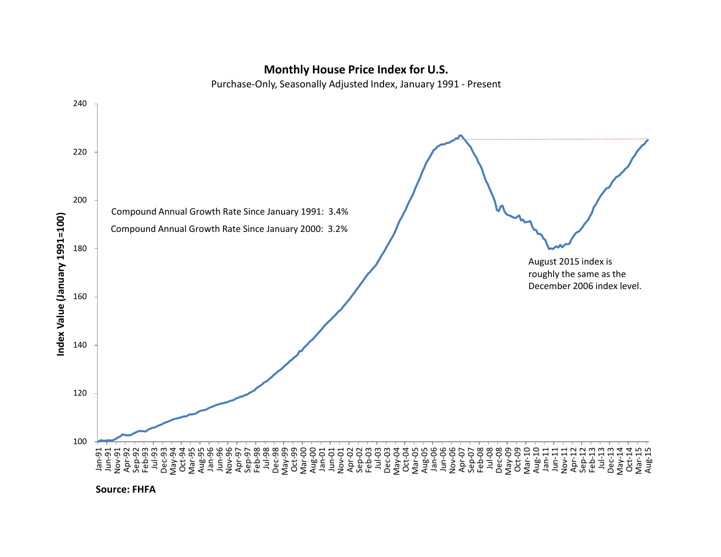

#### **Monthly House Price Index for U.S.**

Purchase-Only, Seasonally Adjusted Index, January 1991 - Present

**Source: FHFA**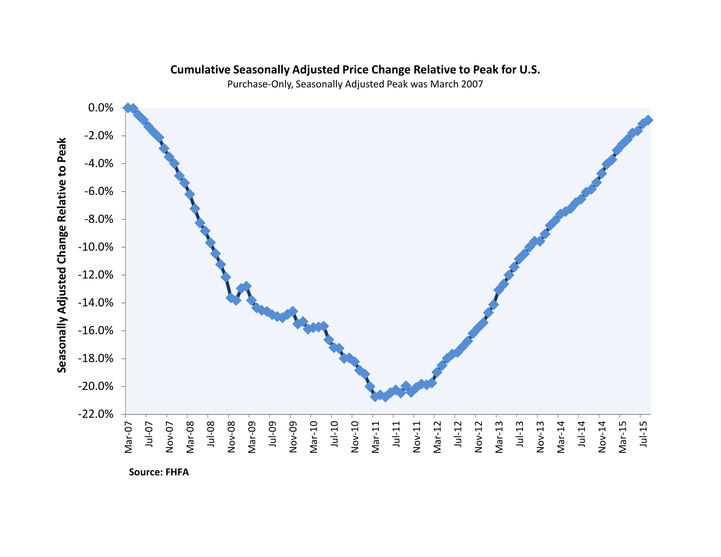#### **Cumulative Seasonally Adjusted Price Change Relative to Peak for U.S.**

Purchase-Only, Seasonally Adjusted Peak was March 2007



**Source: FHFA**